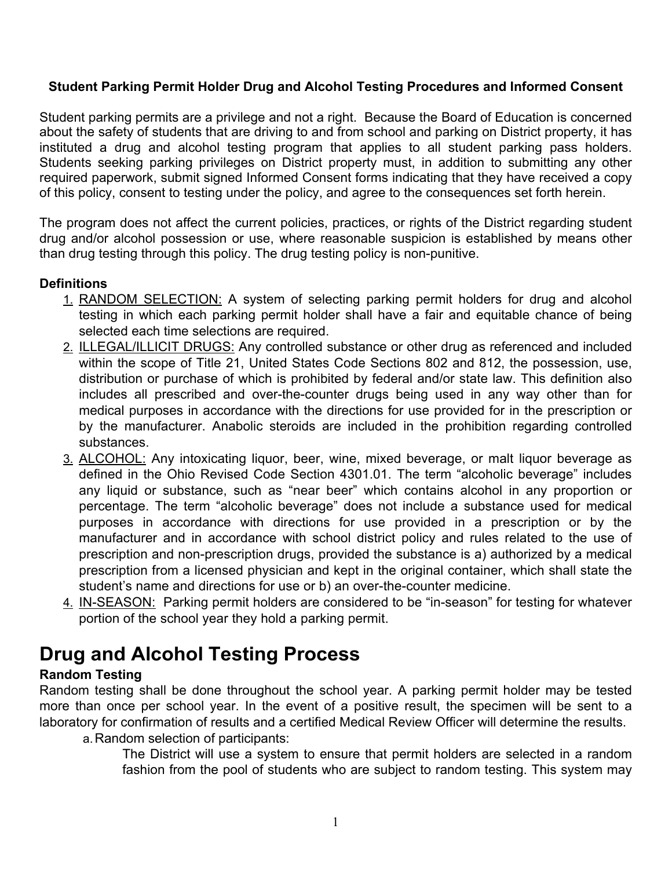# **Student Parking Permit Holder Drug and Alcohol Testing Procedures and Informed Consent**

Student parking permits are a privilege and not a right. Because the Board of Education is concerned about the safety of students that are driving to and from school and parking on District property, it has instituted a drug and alcohol testing program that applies to all student parking pass holders. Students seeking parking privileges on District property must, in addition to submitting any other required paperwork, submit signed Informed Consent forms indicating that they have received a copy of this policy, consent to testing under the policy, and agree to the consequences set forth herein.

The program does not affect the current policies, practices, or rights of the District regarding student drug and/or alcohol possession or use, where reasonable suspicion is established by means other than drug testing through this policy. The drug testing policy is non-punitive.

# **Definitions**

- 1. RANDOM SELECTION: A system of selecting parking permit holders for drug and alcohol testing in which each parking permit holder shall have a fair and equitable chance of being selected each time selections are required.
- 2. ILLEGAL/ILLICIT DRUGS: Any controlled substance or other drug as referenced and included within the scope of Title 21, United States Code Sections 802 and 812, the possession, use, distribution or purchase of which is prohibited by federal and/or state law. This definition also includes all prescribed and over-the-counter drugs being used in any way other than for medical purposes in accordance with the directions for use provided for in the prescription or by the manufacturer. Anabolic steroids are included in the prohibition regarding controlled substances.
- 3. ALCOHOL: Any intoxicating liquor, beer, wine, mixed beverage, or malt liquor beverage as defined in the Ohio Revised Code Section 4301.01. The term "alcoholic beverage" includes any liquid or substance, such as "near beer" which contains alcohol in any proportion or percentage. The term "alcoholic beverage" does not include a substance used for medical purposes in accordance with directions for use provided in a prescription or by the manufacturer and in accordance with school district policy and rules related to the use of prescription and non-prescription drugs, provided the substance is a) authorized by a medical prescription from a licensed physician and kept in the original container, which shall state the student's name and directions for use or b) an over-the-counter medicine.
- 4. IN-SEASON: Parking permit holders are considered to be "in-season" for testing for whatever portion of the school year they hold a parking permit.

# **Drug and Alcohol Testing Process**

# **Random Testing**

Random testing shall be done throughout the school year. A parking permit holder may be tested more than once per school year. In the event of a positive result, the specimen will be sent to a laboratory for confirmation of results and a certified Medical Review Officer will determine the results.

a.Random selection of participants:

The District will use a system to ensure that permit holders are selected in a random fashion from the pool of students who are subject to random testing. This system may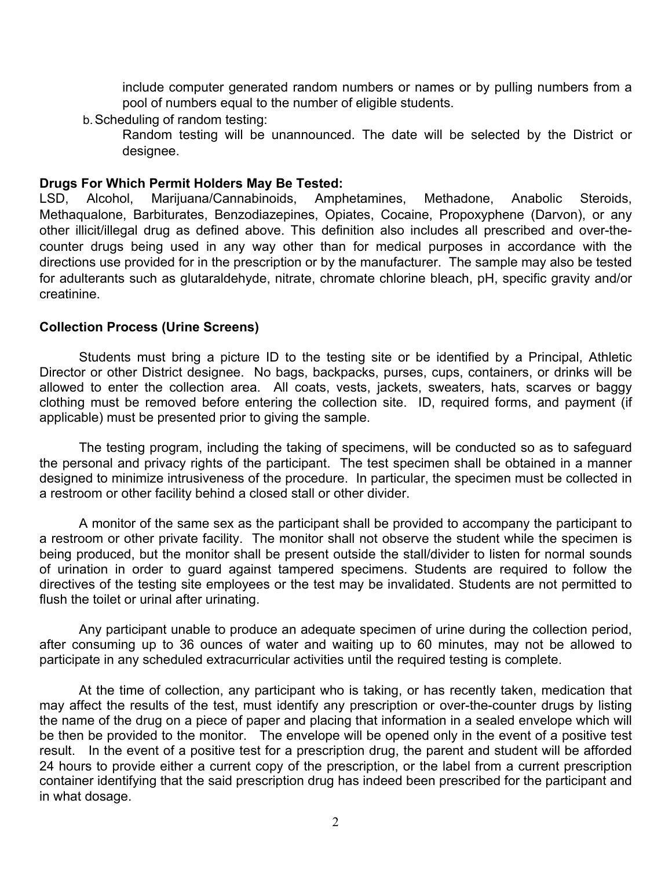include computer generated random numbers or names or by pulling numbers from a pool of numbers equal to the number of eligible students.

b.Scheduling of random testing:

Random testing will be unannounced. The date will be selected by the District or designee.

## **Drugs For Which Permit Holders May Be Tested:**

LSD, Alcohol, Marijuana/Cannabinoids, Amphetamines, Methadone, Anabolic Steroids, Methaqualone, Barbiturates, Benzodiazepines, Opiates, Cocaine, Propoxyphene (Darvon), or any other illicit/illegal drug as defined above. This definition also includes all prescribed and over-thecounter drugs being used in any way other than for medical purposes in accordance with the directions use provided for in the prescription or by the manufacturer. The sample may also be tested for adulterants such as glutaraldehyde, nitrate, chromate chlorine bleach, pH, specific gravity and/or creatinine.

#### **Collection Process (Urine Screens)**

Students must bring a picture ID to the testing site or be identified by a Principal, Athletic Director or other District designee. No bags, backpacks, purses, cups, containers, or drinks will be allowed to enter the collection area. All coats, vests, jackets, sweaters, hats, scarves or baggy clothing must be removed before entering the collection site. ID, required forms, and payment (if applicable) must be presented prior to giving the sample.

The testing program, including the taking of specimens, will be conducted so as to safeguard the personal and privacy rights of the participant. The test specimen shall be obtained in a manner designed to minimize intrusiveness of the procedure. In particular, the specimen must be collected in a restroom or other facility behind a closed stall or other divider.

A monitor of the same sex as the participant shall be provided to accompany the participant to a restroom or other private facility. The monitor shall not observe the student while the specimen is being produced, but the monitor shall be present outside the stall/divider to listen for normal sounds of urination in order to guard against tampered specimens. Students are required to follow the directives of the testing site employees or the test may be invalidated. Students are not permitted to flush the toilet or urinal after urinating.

Any participant unable to produce an adequate specimen of urine during the collection period, after consuming up to 36 ounces of water and waiting up to 60 minutes, may not be allowed to participate in any scheduled extracurricular activities until the required testing is complete.

At the time of collection, any participant who is taking, or has recently taken, medication that may affect the results of the test, must identify any prescription or over-the-counter drugs by listing the name of the drug on a piece of paper and placing that information in a sealed envelope which will be then be provided to the monitor. The envelope will be opened only in the event of a positive test result. In the event of a positive test for a prescription drug, the parent and student will be afforded 24 hours to provide either a current copy of the prescription, or the label from a current prescription container identifying that the said prescription drug has indeed been prescribed for the participant and in what dosage.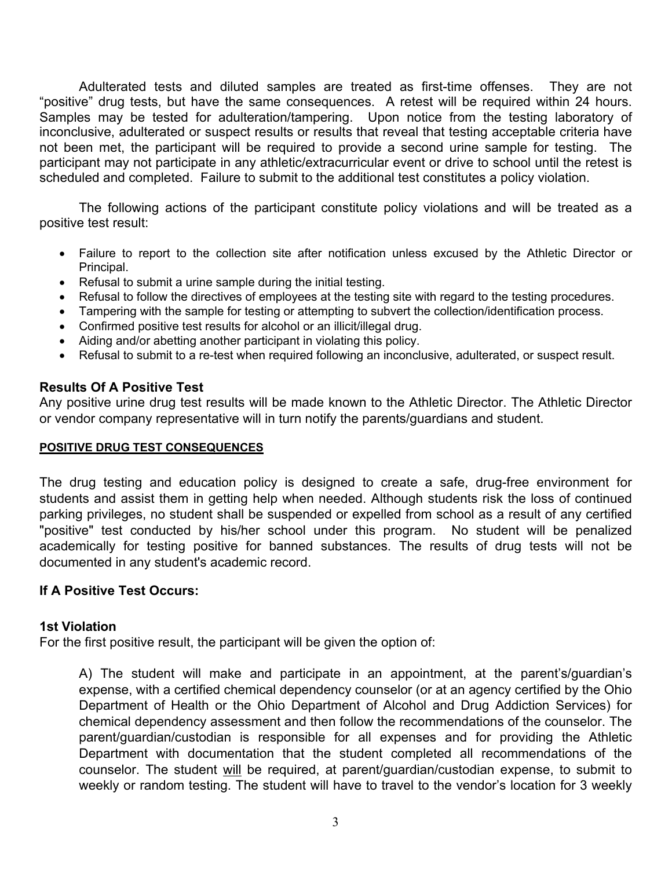Adulterated tests and diluted samples are treated as first-time offenses. They are not "positive" drug tests, but have the same consequences. A retest will be required within 24 hours. Samples may be tested for adulteration/tampering. Upon notice from the testing laboratory of inconclusive, adulterated or suspect results or results that reveal that testing acceptable criteria have not been met, the participant will be required to provide a second urine sample for testing. The participant may not participate in any athletic/extracurricular event or drive to school until the retest is scheduled and completed. Failure to submit to the additional test constitutes a policy violation.

The following actions of the participant constitute policy violations and will be treated as a positive test result:

- Failure to report to the collection site after notification unless excused by the Athletic Director or Principal.
- Refusal to submit a urine sample during the initial testing.
- Refusal to follow the directives of employees at the testing site with regard to the testing procedures.
- Tampering with the sample for testing or attempting to subvert the collection/identification process.
- Confirmed positive test results for alcohol or an illicit/illegal drug.
- Aiding and/or abetting another participant in violating this policy.
- Refusal to submit to a re-test when required following an inconclusive, adulterated, or suspect result.

#### **Results Of A Positive Test**

Any positive urine drug test results will be made known to the Athletic Director. The Athletic Director or vendor company representative will in turn notify the parents/guardians and student.

#### **POSITIVE DRUG TEST CONSEQUENCES**

The drug testing and education policy is designed to create a safe, drug-free environment for students and assist them in getting help when needed. Although students risk the loss of continued parking privileges, no student shall be suspended or expelled from school as a result of any certified "positive" test conducted by his/her school under this program. No student will be penalized academically for testing positive for banned substances. The results of drug tests will not be documented in any student's academic record.

## **If A Positive Test Occurs:**

#### **1st Violation**

For the first positive result, the participant will be given the option of:

A) The student will make and participate in an appointment, at the parent's/guardian's expense, with a certified chemical dependency counselor (or at an agency certified by the Ohio Department of Health or the Ohio Department of Alcohol and Drug Addiction Services) for chemical dependency assessment and then follow the recommendations of the counselor. The parent/guardian/custodian is responsible for all expenses and for providing the Athletic Department with documentation that the student completed all recommendations of the counselor. The student will be required, at parent/guardian/custodian expense, to submit to weekly or random testing. The student will have to travel to the vendor's location for 3 weekly